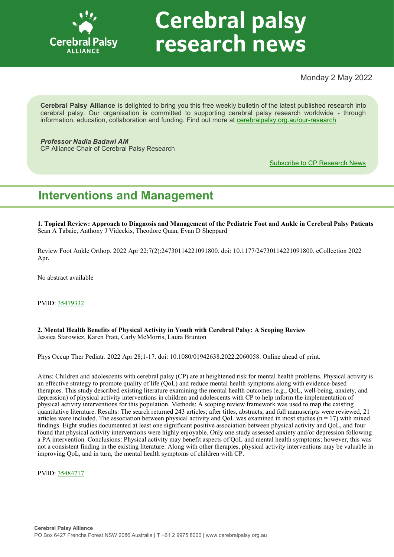

# **Cerebral palsy** research news

Monday 2 May 2022

**Cerebral Palsy Alliance** is delighted to bring you this free weekly bulletin of the latest published research into cerebral palsy. Our organisation is committed to supporting cerebral palsy research worldwide - through information, education, collaboration and funding. Find out more at [cerebralpalsy.org.au/our](https://cerebralpalsy.org.au/our-research/)-research

*Professor Nadia Badawi AM* CP Alliance Chair of Cerebral Palsy Research

[Subscribe to CP Research News](https://cerebralpalsy.org.au/our-research/get-involved-research/cp-research-newsletters/)

# **Interventions and Management**

**1. Topical Review: Approach to Diagnosis and Management of the Pediatric Foot and Ankle in Cerebral Palsy Patients** Sean A Tabaie, Anthony J Videckis, Theodore Quan, Evan D Sheppard

Review Foot Ankle Orthop. 2022 Apr 22;7(2):24730114221091800. doi: 10.1177/24730114221091800. eCollection 2022 Apr.

No abstract available

PMID: [35479332](https://pubmed.ncbi.nlm.nih.gov/35479332)

**2. Mental Health Benefits of Physical Activity in Youth with Cerebral Palsy: A Scoping Review** Jessica Starowicz, Karen Pratt, Carly McMorris, Laura Brunton

Phys Occup Ther Pediatr. 2022 Apr 28;1-17. doi: 10.1080/01942638.2022.2060058. Online ahead of print.

Aims: Children and adolescents with cerebral palsy (CP) are at heightened risk for mental health problems. Physical activity is an effective strategy to promote quality of life (QoL) and reduce mental health symptoms along with evidence-based therapies. This study described existing literature examining the mental health outcomes (e.g., QoL, well-being, anxiety, and depression) of physical activity interventions in children and adolescents with CP to help inform the implementation of physical activity interventions for this population. Methods: A scoping review framework was used to map the existing quantitative literature. Results: The search returned 243 articles; after titles, abstracts, and full manuscripts were reviewed, 21 articles were included. The association between physical activity and QoL was examined in most studies ( $n = 17$ ) with mixed findings. Eight studies documented at least one significant positive association between physical activity and QoL, and four found that physical activity interventions were highly enjoyable. Only one study assessed anxiety and/or depression following a PA intervention. Conclusions: Physical activity may benefit aspects of QoL and mental health symptoms; however, this was not a consistent finding in the existing literature. Along with other therapies, physical activity interventions may be valuable in improving QoL, and in turn, the mental health symptoms of children with CP.

PMID: [35484717](https://pubmed.ncbi.nlm.nih.gov/35484717)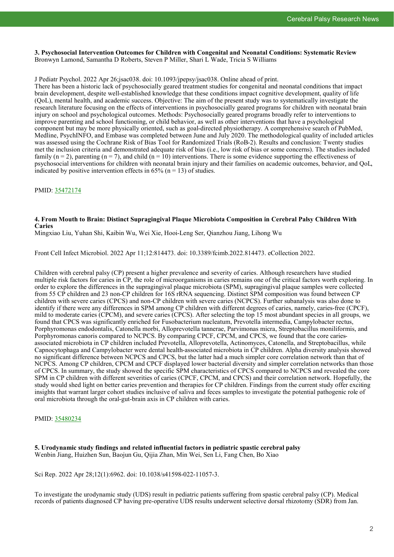**3. Psychosocial Intervention Outcomes for Children with Congenital and Neonatal Conditions: Systematic Review** Bronwyn Lamond, Samantha D Roberts, Steven P Miller, Shari L Wade, Tricia S Williams

J Pediatr Psychol. 2022 Apr 26;jsac038. doi: 10.1093/jpepsy/jsac038. Online ahead of print.

There has been a historic lack of psychosocially geared treatment studies for congenital and neonatal conditions that impact brain development, despite well-established knowledge that these conditions impact cognitive development, quality of life (QoL), mental health, and academic success. Objective: The aim of the present study was to systematically investigate the research literature focusing on the effects of interventions in psychosocially geared programs for children with neonatal brain injury on school and psychological outcomes. Methods: Psychosocially geared programs broadly refer to interventions to improve parenting and school functioning, or child behavior, as well as other interventions that have a psychological component but may be more physically oriented, such as goal-directed physiotherapy. A comprehensive search of PubMed, Medline, PsychINFO, and Embase was completed between June and July 2020. The methodological quality of included articles was assessed using the Cochrane Risk of Bias Tool for Randomized Trials (RoB-2). Results and conclusion: Twenty studies met the inclusion criteria and demonstrated adequate risk of bias (i.e., low risk of bias or some concerns). The studies included family ( $n = 2$ ), parenting ( $n = 7$ ), and child ( $n = 10$ ) interventions. There is some evidence supporting the effectiveness of psychosocial interventions for children with neonatal brain injury and their families on academic outcomes, behavior, and QoL, indicated by positive intervention effects in 65% ( $n = 13$ ) of studies.

PMID: [35472174](https://pubmed.ncbi.nlm.nih.gov/35472174)

#### **4. From Mouth to Brain: Distinct Supragingival Plaque Microbiota Composition in Cerebral Palsy Children With Caries**

Mingxiao Liu, Yuhan Shi, Kaibin Wu, Wei Xie, Hooi-Leng Ser, Qianzhou Jiang, Lihong Wu

Front Cell Infect Microbiol. 2022 Apr 11;12:814473. doi: 10.3389/fcimb.2022.814473. eCollection 2022.

Children with cerebral palsy (CP) present a higher prevalence and severity of caries. Although researchers have studied multiple risk factors for caries in CP, the role of microorganisms in caries remains one of the critical factors worth exploring. In order to explore the differences in the supragingival plaque microbiota (SPM), supragingival plaque samples were collected from 55 CP children and 23 non-CP children for 16S rRNA sequencing. Distinct SPM composition was found between CP children with severe caries (CPCS) and non-CP children with severe caries (NCPCS). Further subanalysis was also done to identify if there were any differences in SPM among CP children with different degrees of caries, namely, caries-free (CPCF), mild to moderate caries (CPCM), and severe caries (CPCS). After selecting the top 15 most abundant species in all groups, we found that CPCS was significantly enriched for Fusobacterium nucleatum, Prevotella intermedia, Campylobacter rectus, Porphyromonas endodontalis, Catonella morbi, Alloprevotella tannerae, Parvimonas micra, Streptobacillus moniliformis, and Porphyromonas canoris compared to NCPCS. By comparing CPCF, CPCM, and CPCS, we found that the core cariesassociated microbiota in CP children included Prevotella, Alloprevotella, Actinomyces, Catonella, and Streptobacillus, while Capnocytophaga and Campylobacter were dental health-associated microbiota in CP children. Alpha diversity analysis showed no significant difference between NCPCS and CPCS, but the latter had a much simpler core correlation network than that of NCPCS. Among CP children, CPCM and CPCF displayed lower bacterial diversity and simpler correlation networks than those of CPCS. In summary, the study showed the specific SPM characteristics of CPCS compared to NCPCS and revealed the core SPM in CP children with different severities of caries (CPCF, CPCM, and CPCS) and their correlation network. Hopefully, the study would shed light on better caries prevention and therapies for CP children. Findings from the current study offer exciting insights that warrant larger cohort studies inclusive of saliva and feces samples to investigate the potential pathogenic role of oral microbiota through the oral-gut-brain axis in CP children with caries.

PMID: [35480234](https://pubmed.ncbi.nlm.nih.gov/35480234)

**5. Urodynamic study findings and related influential factors in pediatric spastic cerebral palsy** Wenbin Jiang, Huizhen Sun, Baojun Gu, Qijia Zhan, Min Wei, Sen Li, Fang Chen, Bo Xiao

Sci Rep. 2022 Apr 28;12(1):6962. doi: 10.1038/s41598-022-11057-3.

To investigate the urodynamic study (UDS) result in pediatric patients suffering from spastic cerebral palsy (CP). Medical records of patients diagnosed CP having pre-operative UDS results underwent selective dorsal rhizotomy (SDR) from Jan.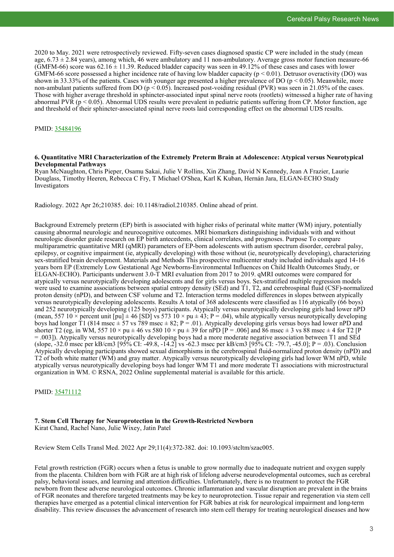2020 to May. 2021 were retrospectively reviewed. Fifty-seven cases diagnosed spastic CP were included in the study (mean age,  $6.73 \pm 2.84$  years), among which, 46 were ambulatory and 11 non-ambulatory. Average gross motor function measure-66 (GMFM-66) score was  $62.16 \pm 11.39$ . Reduced bladder capacity was seen in 49.12% of these cases and cases with lower GMFM-66 score possessed a higher incidence rate of having low bladder capacity ( $p < 0.01$ ). Detrusor overactivity (DO) was shown in 33.33% of the patients. Cases with younger age presented a higher prevalence of DO ( $p < 0.05$ ). Meanwhile, more non-ambulant patients suffered from DO ( $p < 0.05$ ). Increased post-voiding residual (PVR) was seen in 21.05% of the cases. Those with higher average threshold in sphincter-associated input spinal nerve roots (rootlets) witnessed a higher rate of having abnormal PVR ( $p < 0.05$ ). Abnormal UDS results were prevalent in pediatric patients suffering from CP. Motor function, age and threshold of their sphincter-associated spinal nerve roots laid corresponding effect on the abnormal UDS results.

# PMID: [35484196](https://pubmed.ncbi.nlm.nih.gov/35484196)

#### **6. Quantitative MRI Characterization of the Extremely Preterm Brain at Adolescence: Atypical versus Neurotypical Developmental Pathways**

Ryan McNaughton, Chris Pieper, Osamu Sakai, Julie V Rollins, Xin Zhang, David N Kennedy, Jean A Frazier, Laurie Douglass, Timothy Heeren, Rebecca C Fry, T Michael O'Shea, Karl K Kuban, Hernán Jara, ELGAN-ECHO Study Investigators

Radiology. 2022 Apr 26;210385. doi: 10.1148/radiol.210385. Online ahead of print.

Background Extremely preterm (EP) birth is associated with higher risks of perinatal white matter (WM) injury, potentially causing abnormal neurologic and neurocognitive outcomes. MRI biomarkers distinguishing individuals with and without neurologic disorder guide research on EP birth antecedents, clinical correlates, and prognoses. Purpose To compare multiparametric quantitative MRI (qMRI) parameters of EP-born adolescents with autism spectrum disorder, cerebral palsy, epilepsy, or cognitive impairment (ie, atypically developing) with those without (ie, neurotypically developing), characterizing sex-stratified brain development. Materials and Methods This prospective multicenter study included individuals aged 14-16 years born EP (Extremely Low Gestational Age Newborns-Environmental Influences on Child Health Outcomes Study, or ELGAN-ECHO). Participants underwent 3.0-T MRI evaluation from 2017 to 2019. qMRI outcomes were compared for atypically versus neurotypically developing adolescents and for girls versus boys. Sex-stratified multiple regression models were used to examine associations between spatial entropy density (SEd) and T1, T2, and cerebrospinal fluid (CSF)-normalized proton density (nPD), and between CSF volume and T2. Interaction terms modeled differences in slopes between atypically versus neurotypically developing adolescents. Results A total of 368 adolescents were classified as 116 atypically (66 boys) and 252 neurotypically developing (125 boys) participants. Atypically versus neurotypically developing girls had lower nPD (mean, 557 10  $\times$  percent unit [pu]  $\pm$  46 [SD] vs 573 10  $\times$  pu  $\pm$  43; P = .04), while atypically versus neurotypically developing boys had longer T1 (814 msec  $\pm$  57 vs 789 msec  $\pm$  82; P = .01). Atypically developing girls versus boys had lower nPD and shorter T2 (eg, in WM, 557  $10 \times pu \pm 46$  vs 580  $10 \times pu \pm 39$  for nPD [P = .006] and 86 msec  $\pm 3$  vs 88 msec  $\pm 4$  for T2 [P = .003]). Atypically versus neurotypically developing boys had a more moderate negative association between T1 and SEd (slope, -32.0 msec per kB/cm3 [95% CI: -49.8, -14.2] vs -62.3 msec per kB/cm3 [95% CI: -79.7, -45.0]; P = .03). Conclusion Atypically developing participants showed sexual dimorphisms in the cerebrospinal fluid-normalized proton density (nPD) and T2 of both white matter (WM) and gray matter. Atypically versus neurotypically developing girls had lower WM nPD, while atypically versus neurotypically developing boys had longer WM T1 and more moderate T1 associations with microstructural organization in WM. © RSNA, 2022 Online supplemental material is available for this article.

# PMID: [35471112](https://pubmed.ncbi.nlm.nih.gov/35471112)

### **7. Stem Cell Therapy for Neuroprotection in the Growth-Restricted Newborn** Kirat Chand, Rachel Nano, Julie Wixey, Jatin Patel

Review Stem Cells Transl Med. 2022 Apr 29;11(4):372-382. doi: 10.1093/stcltm/szac005.

Fetal growth restriction (FGR) occurs when a fetus is unable to grow normally due to inadequate nutrient and oxygen supply from the placenta. Children born with FGR are at high risk of lifelong adverse neurodevelopmental outcomes, such as cerebral palsy, behavioral issues, and learning and attention difficulties. Unfortunately, there is no treatment to protect the FGR newborn from these adverse neurological outcomes. Chronic inflammation and vascular disruption are prevalent in the brains of FGR neonates and therefore targeted treatments may be key to neuroprotection. Tissue repair and regeneration via stem cell therapies have emerged as a potential clinical intervention for FGR babies at risk for neurological impairment and long-term disability. This review discusses the advancement of research into stem cell therapy for treating neurological diseases and how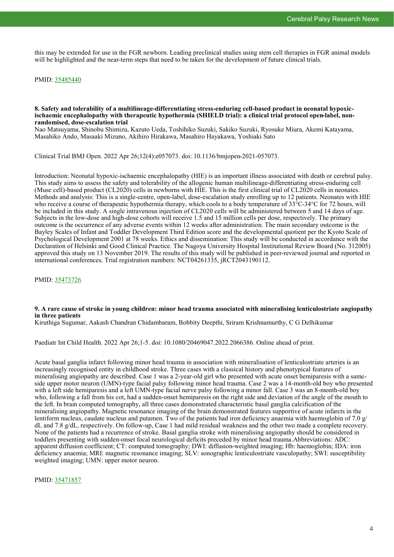this may be extended for use in the FGR newborn. Leading preclinical studies using stem cell therapies in FGR animal models will be highlighted and the near-term steps that need to be taken for the development of future clinical trials.

PMID: [35485440](https://pubmed.ncbi.nlm.nih.gov/35485440)

# **8. Safety and tolerability of a multilineage-differentiating stress-enduring cell-based product in neonatal hypoxicischaemic encephalopathy with therapeutic hypothermia (SHIELD trial): a clinical trial protocol open-label, nonrandomised, dose-escalation trial**

Nao Matsuyama, Shinobu Shimizu, Kazuto Ueda, Toshihiko Suzuki, Sakiko Suzuki, Ryosuke Miura, Akemi Katayama, Masahiko Ando, Masaaki Mizuno, Akihiro Hirakawa, Masahiro Hayakawa, Yoshiaki Sato

Clinical Trial BMJ Open. 2022 Apr 26;12(4):e057073. doi: 10.1136/bmjopen-2021-057073.

Introduction: Neonatal hypoxic-ischaemic encephalopathy (HIE) is an important illness associated with death or cerebral palsy. This study aims to assess the safety and tolerability of the allogenic human multilineage-differentiating stress-enduring cell (Muse cell)-based product (CL2020) cells in newborns with HIE. This is the first clinical trial of CL2020 cells in neonates. Methods and analysis: This is a single-centre, open-label, dose-escalation study enrolling up to 12 patients. Neonates with HIE who receive a course of therapeutic hypothermia therapy, which cools to a body temperature of 33°C-34°C for 72 hours, will be included in this study. A single intravenous injection of CL2020 cells will be administered between 5 and 14 days of age. Subjects in the low-dose and high-dose cohorts will receive 1.5 and 15 million cells per dose, respectively. The primary outcome is the occurrence of any adverse events within 12 weeks after administration. The main secondary outcome is the Bayley Scales of Infant and Toddler Development Third Edition score and the developmental quotient per the Kyoto Scale of Psychological Development 2001 at 78 weeks. Ethics and dissemination: This study will be conducted in accordance with the Declaration of Helsinki and Good Clinical Practice. The Nagoya University Hospital Institutional Review Board (No. 312005) approved this study on 13 November 2019. The results of this study will be published in peer-reviewed journal and reported in international conferences. Trial registration numbers: NCT04261335, jRCT2043190112.

PMID: [35473726](https://pubmed.ncbi.nlm.nih.gov/35473726)

# **9. A rare cause of stroke in young children: minor head trauma associated with mineralising lenticulostriate angiopathy in three patients**

Kiruthiga Sugumar, Aakash Chandran Chidambaram, Bobbity Deepthi, Sriram Krishnamurthy, C G Delhikumar

Paediatr Int Child Health. 2022 Apr 26;1-5. doi: 10.1080/20469047.2022.2066386. Online ahead of print.

Acute basal ganglia infarct following minor head trauma in association with mineralisation of lenticulostriate arteries is an increasingly recognised entity in childhood stroke. Three cases with a classical history and phenotypical features of mineralising angiopathy are described. Case 1 was a 2-year-old girl who presented with acute onset hemiparesis with a sameside upper motor neuron (UMN)-type facial palsy following minor head trauma. Case 2 was a 14-month-old boy who presented with a left side hemiparesis and a left UMN-type facial nerve palsy following a minor fall. Case 3 was an 8-month-old boy who, following a fall from his cot, had a sudden-onset hemiparesis on the right side and deviation of the angle of the mouth to the left. In brain computed tomography, all three cases demonstrated characteristic basal ganglia calcification of the mineralising angiopathy. Magnetic resonance imaging of the brain demonstrated features supportive of acute infarcts in the lentiform nucleus, caudate nucleus and putamen. Two of the patients had iron deficiency anaemia with haemoglobin of 7.0 g/ dL and 7.8 g/dL, respectively. On follow-up, Case 1 had mild residual weakness and the other two made a complete recovery. None of the patients had a recurrence of stroke. Basal ganglia stroke with mineralising angiopathy should be considered in toddlers presenting with sudden-onset focal neurological deficits preceded by minor head trauma.Abbreviations: ADC: apparent diffusion coefficient; CT: computed tomography; DWI: diffusion-weighted imaging; Hb: haemoglobin; IDA: iron deficiency anaemia; MRI: magnetic resonance imaging; SLV: sonographic lenticulostriate vasculopathy; SWI: susceptibility weighted imaging; UMN: upper motor neuron.

PMID: [35471857](https://pubmed.ncbi.nlm.nih.gov/35471857)